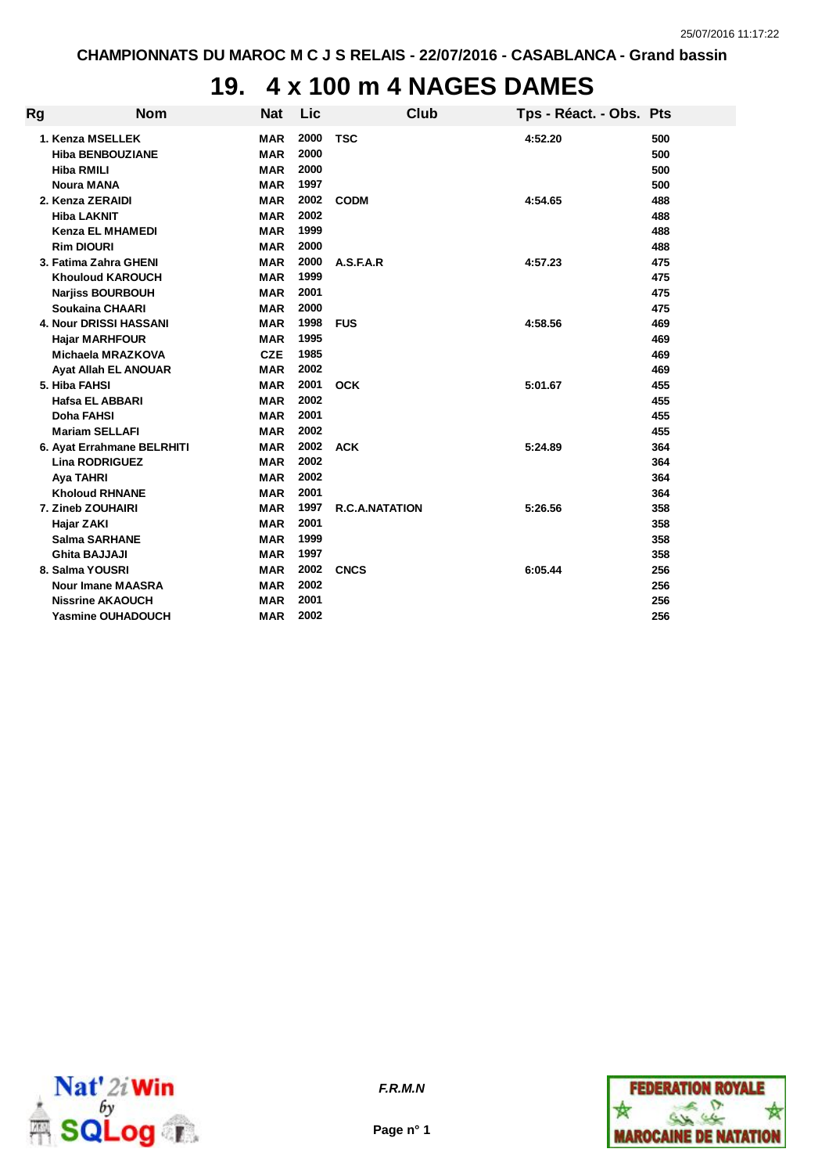## **19. 4 x 100 m 4 NAGES DAMES**

| Rg | <b>Nom</b>                    | <b>Nat</b> | Lic  | Club                  | Tps - Réact. - Obs. Pts |     |
|----|-------------------------------|------------|------|-----------------------|-------------------------|-----|
|    | 1. Kenza MSELLEK              | <b>MAR</b> | 2000 | <b>TSC</b>            | 4:52.20                 | 500 |
|    | <b>Hiba BENBOUZIANE</b>       | <b>MAR</b> | 2000 |                       |                         | 500 |
|    | <b>Hiba RMILI</b>             | <b>MAR</b> | 2000 |                       |                         | 500 |
|    | <b>Noura MANA</b>             | <b>MAR</b> | 1997 |                       |                         | 500 |
|    | 2. Kenza ZERAIDI              | <b>MAR</b> | 2002 | <b>CODM</b>           | 4:54.65                 | 488 |
|    | <b>Hiba LAKNIT</b>            | <b>MAR</b> | 2002 |                       |                         | 488 |
|    | <b>Kenza EL MHAMEDI</b>       | <b>MAR</b> | 1999 |                       |                         | 488 |
|    | <b>Rim DIOURI</b>             | <b>MAR</b> | 2000 |                       |                         | 488 |
|    | 3. Fatima Zahra GHENI         | <b>MAR</b> | 2000 | A.S.F.A.R             | 4:57.23                 | 475 |
|    | <b>Khouloud KAROUCH</b>       | <b>MAR</b> | 1999 |                       |                         | 475 |
|    | <b>Narjiss BOURBOUH</b>       | <b>MAR</b> | 2001 |                       |                         | 475 |
|    | <b>Soukaina CHAARI</b>        | <b>MAR</b> | 2000 |                       |                         | 475 |
|    | <b>4. Nour DRISSI HASSANI</b> | <b>MAR</b> | 1998 | <b>FUS</b>            | 4:58.56                 | 469 |
|    | <b>Hajar MARHFOUR</b>         | <b>MAR</b> | 1995 |                       |                         | 469 |
|    | <b>Michaela MRAZKOVA</b>      | <b>CZE</b> | 1985 |                       |                         | 469 |
|    | <b>Ayat Allah EL ANOUAR</b>   | <b>MAR</b> | 2002 |                       |                         | 469 |
|    | 5. Hiba FAHSI                 | <b>MAR</b> | 2001 | <b>OCK</b>            | 5:01.67                 | 455 |
|    | <b>Hafsa EL ABBARI</b>        | <b>MAR</b> | 2002 |                       |                         | 455 |
|    | <b>Doha FAHSI</b>             | <b>MAR</b> | 2001 |                       |                         | 455 |
|    | <b>Mariam SELLAFI</b>         | <b>MAR</b> | 2002 |                       |                         | 455 |
|    | 6. Ayat Errahmane BELRHITI    | <b>MAR</b> | 2002 | <b>ACK</b>            | 5:24.89                 | 364 |
|    | <b>Lina RODRIGUEZ</b>         | <b>MAR</b> | 2002 |                       |                         | 364 |
|    | <b>Aya TAHRI</b>              | <b>MAR</b> | 2002 |                       |                         | 364 |
|    | <b>Kholoud RHNANE</b>         | <b>MAR</b> | 2001 |                       |                         | 364 |
|    | 7. Zineb ZOUHAIRI             | <b>MAR</b> | 1997 | <b>R.C.A.NATATION</b> | 5:26.56                 | 358 |
|    | Hajar ZAKI                    | <b>MAR</b> | 2001 |                       |                         | 358 |
|    | <b>Salma SARHANE</b>          | <b>MAR</b> | 1999 |                       |                         | 358 |
|    | <b>Ghita BAJJAJI</b>          | <b>MAR</b> | 1997 |                       |                         | 358 |
|    | 8. Salma YOUSRI               | <b>MAR</b> | 2002 | <b>CNCS</b>           | 6:05.44                 | 256 |
|    | <b>Nour Imane MAASRA</b>      | <b>MAR</b> | 2002 |                       |                         | 256 |
|    | <b>Nissrine AKAOUCH</b>       | <b>MAR</b> | 2001 |                       |                         | 256 |
|    | <b>Yasmine OUHADOUCH</b>      | <b>MAR</b> | 2002 |                       |                         | 256 |



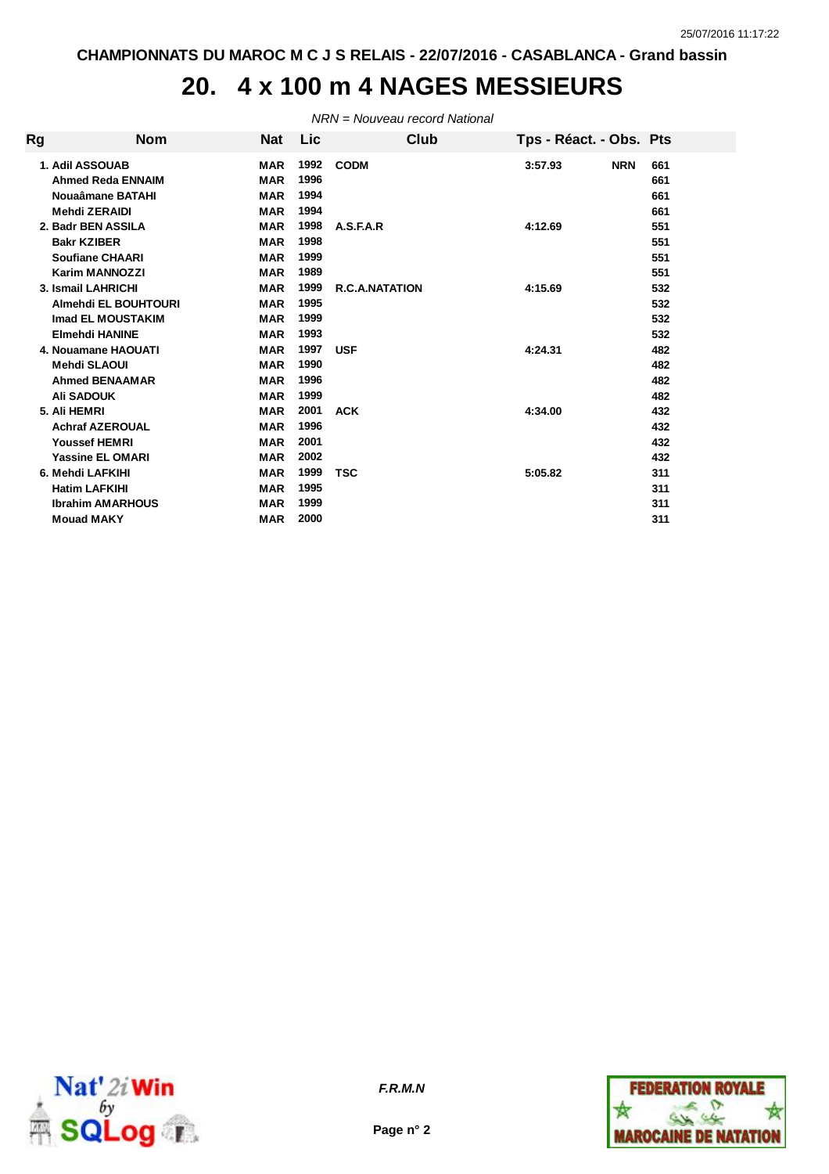# **20. 4 x 100 m 4 NAGES MESSIEURS**

*NRN = Nouveau record National*

| Rg | <b>Nom</b>                                                                                                 | Nat                                                                | Lic.                                 | Club                  | Tps - Réact. - Obs. Pts |                                 |
|----|------------------------------------------------------------------------------------------------------------|--------------------------------------------------------------------|--------------------------------------|-----------------------|-------------------------|---------------------------------|
|    | 1. Adil ASSOUAB<br><b>Ahmed Reda ENNAIM</b><br>Nouaâmane BATAHI<br><b>Mehdi ZERAIDI</b>                    | <b>MAR</b><br><b>MAR</b><br><b>MAR</b><br><b>MAR</b>               | 1992<br>1996<br>1994<br>1994         | <b>CODM</b>           | <b>NRN</b><br>3:57.93   | 661<br>661<br>661<br>661        |
|    | 2. Badr BEN ASSILA<br><b>Bakr KZIBER</b><br><b>Soufiane CHAARI</b>                                         | <b>MAR</b><br><b>MAR</b><br><b>MAR</b>                             | 1998<br>1998<br>1999                 | A.S.F.A.R             | 4:12.69                 | 551<br>551<br>551               |
|    | Karim MANNOZZI<br>3. Ismail LAHRICHI<br>Almehdi EL BOUHTOURI<br>Imad EL MOUSTAKIM<br><b>Elmehdi HANINE</b> | <b>MAR</b><br><b>MAR</b><br><b>MAR</b><br><b>MAR</b><br><b>MAR</b> | 1989<br>1999<br>1995<br>1999<br>1993 | <b>R.C.A.NATATION</b> | 4:15.69                 | 551<br>532<br>532<br>532<br>532 |
|    | 4. Nouamane HAOUATI<br>Mehdi SLAOUI<br><b>Ahmed BENAAMAR</b><br><b>Ali SADOUK</b>                          | <b>MAR</b><br><b>MAR</b><br><b>MAR</b><br><b>MAR</b>               | 1997<br>1990<br>1996<br>1999         | <b>USF</b>            | 4:24.31                 | 482<br>482<br>482<br>482        |
|    | 5. Ali HEMRI<br><b>Achraf AZEROUAL</b><br><b>Youssef HEMRI</b><br><b>Yassine EL OMARI</b>                  | <b>MAR</b><br><b>MAR</b><br><b>MAR</b><br><b>MAR</b>               | 2001<br>1996<br>2001<br>2002         | <b>ACK</b>            | 4:34.00                 | 432<br>432<br>432<br>432        |
|    | 6. Mehdi LAFKIHI<br><b>Hatim LAFKIHI</b><br><b>Ibrahim AMARHOUS</b><br><b>Mouad MAKY</b>                   | <b>MAR</b><br><b>MAR</b><br><b>MAR</b><br><b>MAR</b>               | 1999<br>1995<br>1999<br>2000         | <b>TSC</b>            | 5:05.82                 | 311<br>311<br>311<br>311        |



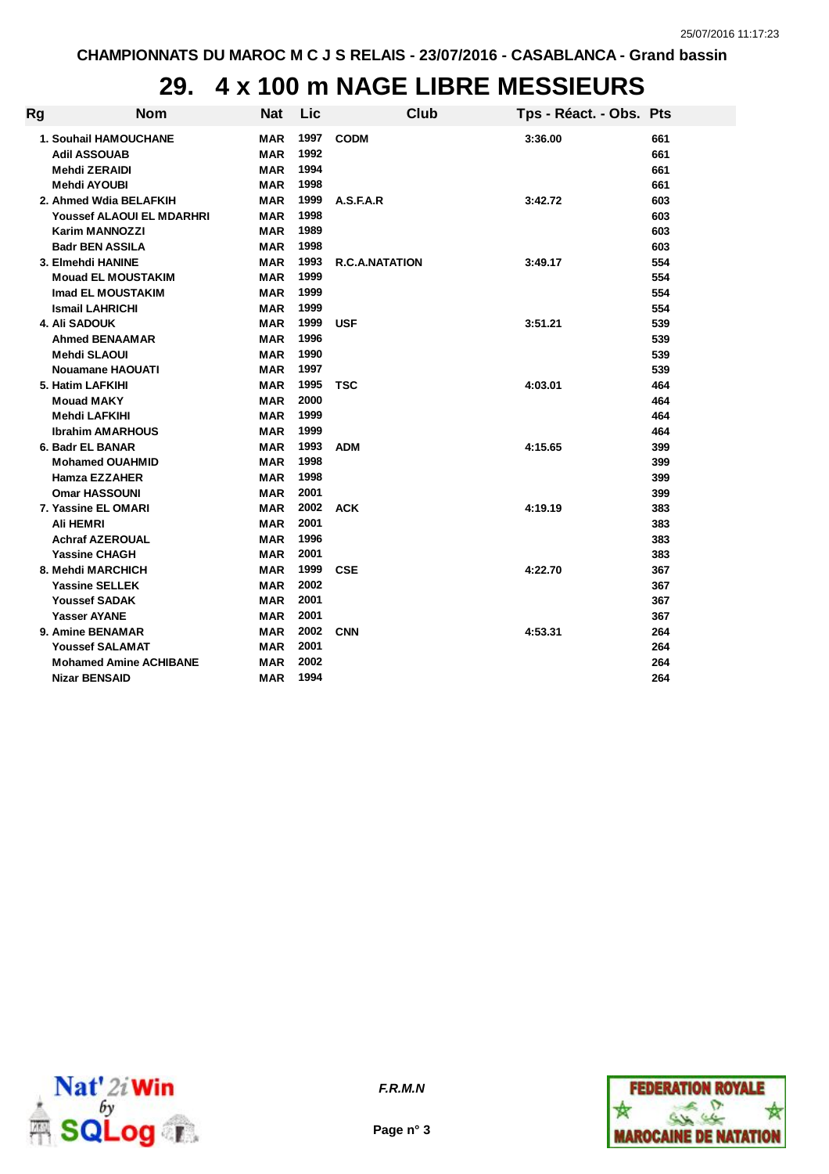## **29. 4 x 100 m NAGE LIBRE MESSIEURS**

| Rg | <b>Nom</b>                       | <b>Nat</b> | Lic  | <b>Club</b>           | Tps - Réact. - Obs. Pts |     |
|----|----------------------------------|------------|------|-----------------------|-------------------------|-----|
|    | <b>1. Souhail HAMOUCHANE</b>     | <b>MAR</b> | 1997 | <b>CODM</b>           | 3:36.00                 | 661 |
|    | <b>Adil ASSOUAB</b>              | <b>MAR</b> | 1992 |                       |                         | 661 |
|    | <b>Mehdi ZERAIDI</b>             | <b>MAR</b> | 1994 |                       |                         | 661 |
|    | Mehdi AYOUBI                     | <b>MAR</b> | 1998 |                       |                         | 661 |
|    | 2. Ahmed Wdia BELAFKIH           | MAR        | 1999 | A.S.F.A.R             | 3:42.72                 | 603 |
|    | <b>Youssef ALAOUI EL MDARHRI</b> | MAR        | 1998 |                       |                         | 603 |
|    | <b>Karim MANNOZZI</b>            | <b>MAR</b> | 1989 |                       |                         | 603 |
|    | <b>Badr BEN ASSILA</b>           | <b>MAR</b> | 1998 |                       |                         | 603 |
|    | 3. Elmehdi HANINE                | <b>MAR</b> | 1993 | <b>R.C.A.NATATION</b> | 3:49.17                 | 554 |
|    | <b>Mouad EL MOUSTAKIM</b>        | <b>MAR</b> | 1999 |                       |                         | 554 |
|    | Imad EL MOUSTAKIM                | <b>MAR</b> | 1999 |                       |                         | 554 |
|    | <b>Ismail LAHRICHI</b>           | <b>MAR</b> | 1999 |                       |                         | 554 |
|    | <b>4. Ali SADOUK</b>             | MAR        | 1999 | <b>USF</b>            | 3:51.21                 | 539 |
|    | <b>Ahmed BENAAMAR</b>            | MAR        | 1996 |                       |                         | 539 |
|    | <b>Mehdi SLAOUI</b>              | <b>MAR</b> | 1990 |                       |                         | 539 |
|    | <b>Nouamane HAOUATI</b>          | <b>MAR</b> | 1997 |                       |                         | 539 |
|    | 5. Hatim LAFKIHI                 | <b>MAR</b> | 1995 | <b>TSC</b>            | 4:03.01                 | 464 |
|    | <b>Mouad MAKY</b>                | <b>MAR</b> | 2000 |                       |                         | 464 |
|    | Mehdi LAFKIHI                    | <b>MAR</b> | 1999 |                       |                         | 464 |
|    | <b>Ibrahim AMARHOUS</b>          | MAR        | 1999 |                       |                         | 464 |
|    | 6. Badr EL BANAR                 | MAR        | 1993 | <b>ADM</b>            | 4:15.65                 | 399 |
|    | <b>Mohamed OUAHMID</b>           | <b>MAR</b> | 1998 |                       |                         | 399 |
|    | <b>Hamza EZZAHER</b>             | <b>MAR</b> | 1998 |                       |                         | 399 |
|    | <b>Omar HASSOUNI</b>             | <b>MAR</b> | 2001 |                       |                         | 399 |
|    | 7. Yassine EL OMARI              | MAR        | 2002 | <b>ACK</b>            | 4:19.19                 | 383 |
|    | Ali HEMRI                        | MAR        | 2001 |                       |                         | 383 |
|    | <b>Achraf AZEROUAL</b>           | MAR        | 1996 |                       |                         | 383 |
|    | <b>Yassine CHAGH</b>             | MAR        | 2001 |                       |                         | 383 |
|    | 8. Mehdi MARCHICH                | MAR        | 1999 | <b>CSE</b>            | 4:22.70                 | 367 |
|    | <b>Yassine SELLEK</b>            | <b>MAR</b> | 2002 |                       |                         | 367 |
|    | <b>Youssef SADAK</b>             | <b>MAR</b> | 2001 |                       |                         | 367 |
|    | <b>Yasser AYANE</b>              | <b>MAR</b> | 2001 |                       |                         | 367 |
|    | 9. Amine BENAMAR                 | <b>MAR</b> | 2002 | <b>CNN</b>            | 4:53.31                 | 264 |
|    | <b>Youssef SALAMAT</b>           | MAR        | 2001 |                       |                         | 264 |
|    | <b>Mohamed Amine ACHIBANE</b>    | MAR        | 2002 |                       |                         | 264 |
|    | <b>Nizar BENSAID</b>             | MAR        | 1994 |                       |                         | 264 |
|    |                                  |            |      |                       |                         |     |



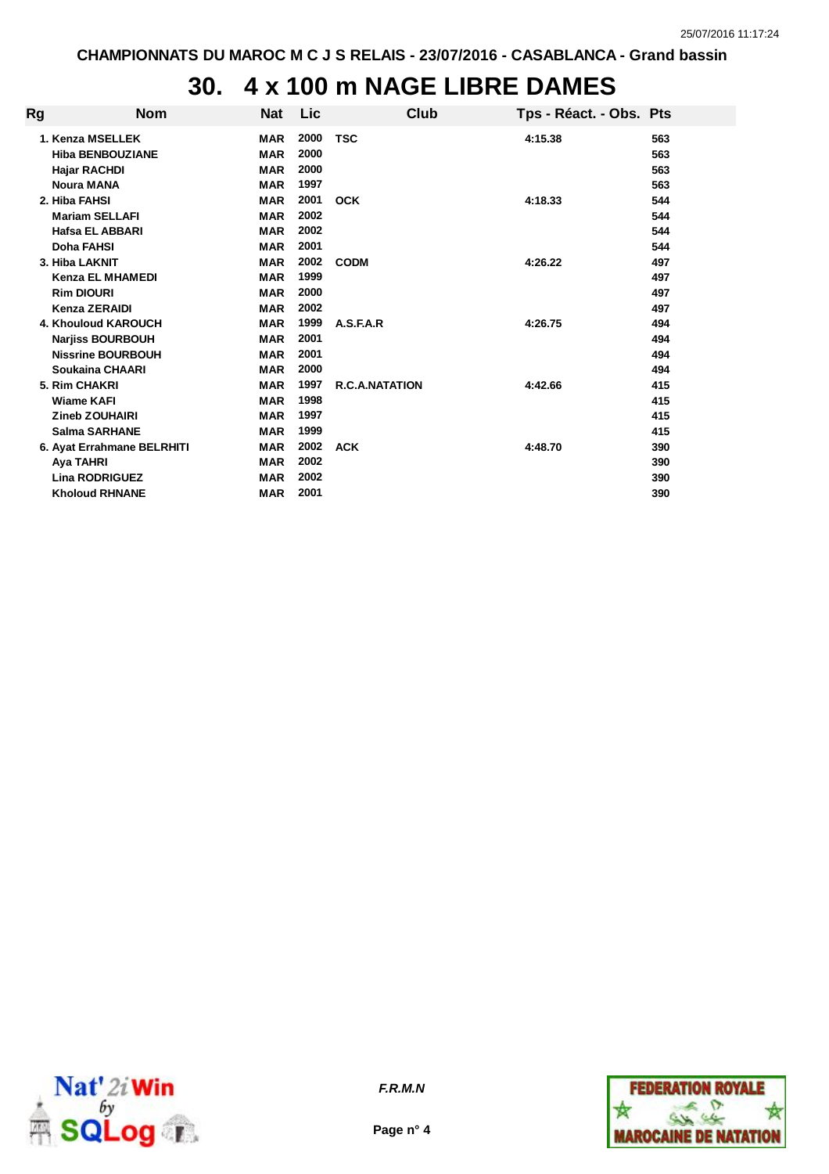# **30. 4 x 100 m NAGE LIBRE DAMES**

| Rg | <b>Nom</b>                                                                                       | <b>Nat</b>                                           | Lic                          | Club                  | Tps - Réact. - Obs. Pts |                          |
|----|--------------------------------------------------------------------------------------------------|------------------------------------------------------|------------------------------|-----------------------|-------------------------|--------------------------|
|    | 1. Kenza MSELLEK<br><b>Hiba BENBOUZIANE</b><br><b>Hajar RACHDI</b><br><b>Noura MANA</b>          | <b>MAR</b><br><b>MAR</b><br><b>MAR</b><br><b>MAR</b> | 2000<br>2000<br>2000<br>1997 | <b>TSC</b>            | 4:15.38                 | 563<br>563<br>563<br>563 |
|    | 2. Hiba FAHSI<br><b>Mariam SELLAFI</b><br>Hafsa EL ABBARI<br>Doha FAHSI                          | <b>MAR</b><br><b>MAR</b><br><b>MAR</b><br><b>MAR</b> | 2001<br>2002<br>2002<br>2001 | <b>OCK</b>            | 4:18.33                 | 544<br>544<br>544<br>544 |
|    | 3. Hiba LAKNIT<br><b>Kenza EL MHAMEDI</b><br><b>Rim DIOURI</b><br><b>Kenza ZERAIDI</b>           | <b>MAR</b><br><b>MAR</b><br><b>MAR</b><br><b>MAR</b> | 2002<br>1999<br>2000<br>2002 | <b>CODM</b>           | 4:26.22                 | 497<br>497<br>497<br>497 |
|    | 4. Khouloud KAROUCH<br><b>Narjiss BOURBOUH</b><br><b>Nissrine BOURBOUH</b><br>Soukaina CHAARI    | <b>MAR</b><br><b>MAR</b><br><b>MAR</b><br><b>MAR</b> | 1999<br>2001<br>2001<br>2000 | A.S.F.A.R             | 4:26.75                 | 494<br>494<br>494<br>494 |
|    | 5. Rim CHAKRI<br><b>Wiame KAFI</b><br><b>Zineb ZOUHAIRI</b><br><b>Salma SARHANE</b>              | <b>MAR</b><br><b>MAR</b><br><b>MAR</b><br><b>MAR</b> | 1997<br>1998<br>1997<br>1999 | <b>R.C.A.NATATION</b> | 4:42.66                 | 415<br>415<br>415<br>415 |
|    | 6. Ayat Errahmane BELRHITI<br><b>Aya TAHRI</b><br><b>Lina RODRIGUEZ</b><br><b>Kholoud RHNANE</b> | <b>MAR</b><br><b>MAR</b><br><b>MAR</b><br><b>MAR</b> | 2002<br>2002<br>2002<br>2001 | <b>ACK</b>            | 4:48.70                 | 390<br>390<br>390<br>390 |



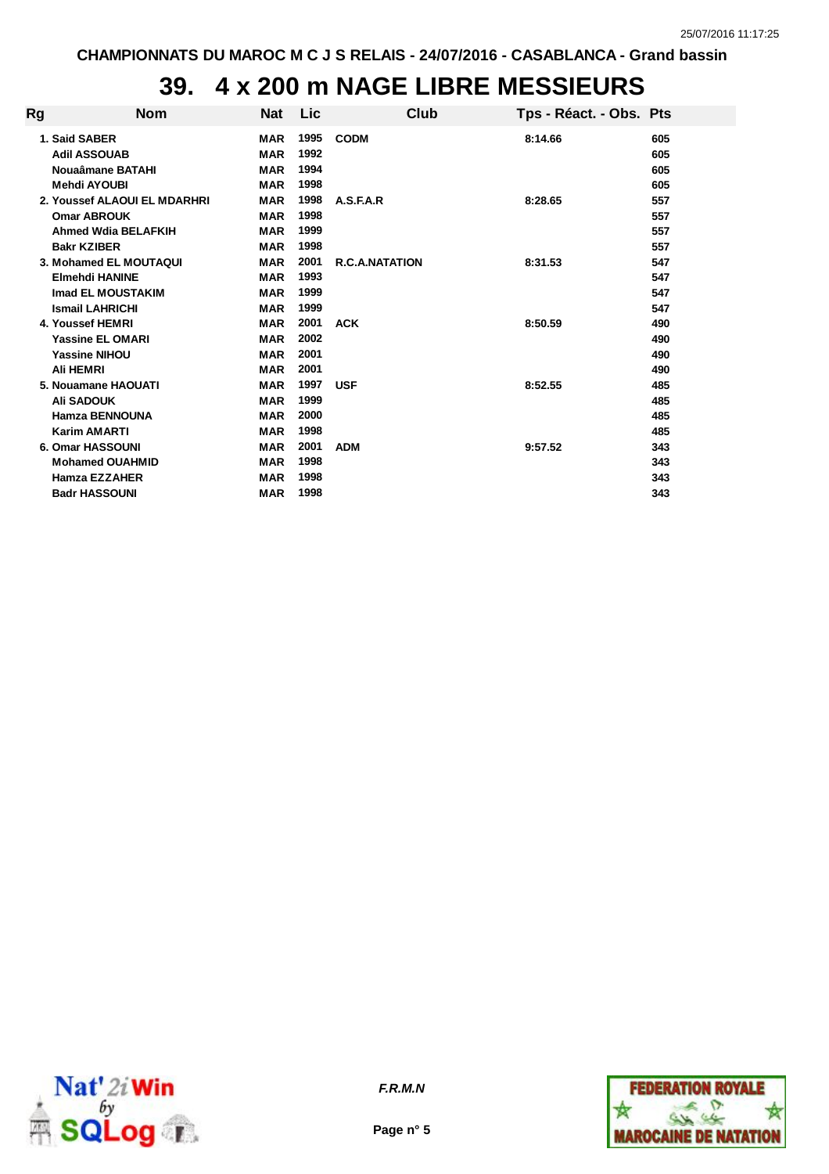## **39. 4 x 200 m NAGE LIBRE MESSIEURS**

| Rg | <b>Nom</b>                                               | Nat                                    | <b>Lic</b>           | Club                  | Tps - Réact. - Obs. Pts |                   |
|----|----------------------------------------------------------|----------------------------------------|----------------------|-----------------------|-------------------------|-------------------|
|    | 1. Said SABER<br><b>Adil ASSOUAB</b><br>Nouaâmane BATAHI | <b>MAR</b><br><b>MAR</b><br><b>MAR</b> | 1995<br>1992<br>1994 | <b>CODM</b>           | 8:14.66                 | 605<br>605<br>605 |
|    | <b>Mehdi AYOUBI</b>                                      | <b>MAR</b>                             | 1998                 |                       |                         | 605               |
|    | 2. Youssef ALAOUI EL MDARHRI                             | <b>MAR</b>                             | 1998                 | A.S.F.A.R             | 8:28.65                 | 557               |
|    | <b>Omar ABROUK</b>                                       | <b>MAR</b>                             | 1998                 |                       |                         | 557               |
|    | <b>Ahmed Wdia BELAFKIH</b>                               | <b>MAR</b>                             | 1999                 |                       |                         | 557               |
|    | <b>Bakr KZIBER</b>                                       | <b>MAR</b>                             | 1998                 |                       |                         | 557               |
|    | 3. Mohamed EL MOUTAQUI                                   | <b>MAR</b>                             | 2001                 | <b>R.C.A.NATATION</b> | 8:31.53                 | 547               |
|    | <b>Elmehdi HANINE</b>                                    | <b>MAR</b>                             | 1993                 |                       |                         | 547               |
|    | <b>Imad EL MOUSTAKIM</b>                                 | <b>MAR</b>                             | 1999                 |                       |                         | 547               |
|    | <b>Ismail LAHRICHI</b>                                   | <b>MAR</b>                             | 1999                 |                       |                         | 547               |
|    | 4. Youssef HEMRI                                         | <b>MAR</b>                             | 2001                 | <b>ACK</b>            | 8:50.59                 | 490               |
|    | <b>Yassine EL OMARI</b>                                  | <b>MAR</b>                             | 2002                 |                       |                         | 490               |
|    | <b>Yassine NIHOU</b>                                     | <b>MAR</b>                             | 2001                 |                       |                         | 490               |
|    | <b>Ali HEMRI</b>                                         | <b>MAR</b>                             | 2001                 |                       |                         | 490               |
|    | 5. Nouamane HAOUATI                                      | <b>MAR</b>                             | 1997                 | <b>USF</b>            | 8:52.55                 | 485               |
|    | <b>Ali SADOUK</b>                                        | <b>MAR</b>                             | 1999                 |                       |                         | 485               |
|    | Hamza BENNOUNA                                           | <b>MAR</b>                             | 2000                 |                       |                         | 485               |
|    | <b>Karim AMARTI</b>                                      | <b>MAR</b>                             | 1998                 |                       |                         | 485               |
|    | 6. Omar HASSOUNI                                         | <b>MAR</b>                             | 2001                 | <b>ADM</b>            | 9:57.52                 | 343               |
|    | <b>Mohamed OUAHMID</b>                                   | <b>MAR</b>                             | 1998                 |                       |                         | 343               |
|    | Hamza EZZAHER                                            | <b>MAR</b>                             | 1998                 |                       |                         | 343               |
|    | <b>Badr HASSOUNI</b>                                     | <b>MAR</b>                             | 1998                 |                       |                         | 343               |